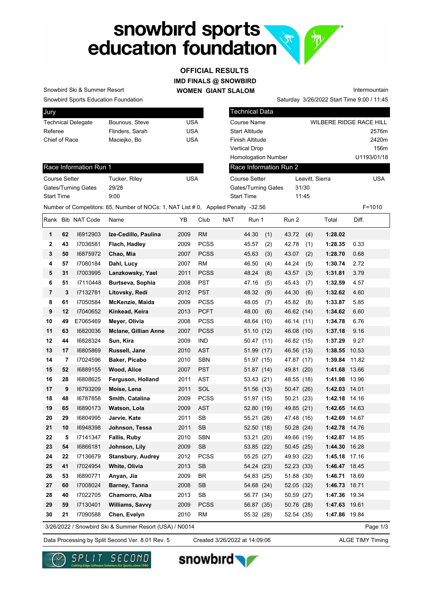# snowbird sports  $\sqrt{x}$ education foundation

### **IMD FINALS @ SNOWBIRD OFFICIAL RESULTS**

**WOMEN GIANT SLALOM**

Saturday 3/26/2022 Start Time 9:00 / 11:45 Intermountain

Snowbird Sports Education Foundation Snowbird Ski & Summer Resort

Race Information Run 1

Gates/Turning Gates 29/28 Start Time 9:00

| Jury                      |                 |     |
|---------------------------|-----------------|-----|
| <b>Technical Delegate</b> | Bounous, Steve  | USA |
| Referee                   | Flinders, Sarah | USA |
| Chief of Race             | Maciejko, Bo    | USA |
|                           |                 |     |

Course Setter Tucker, Riley USA

| Technical Data             |                 |                         |
|----------------------------|-----------------|-------------------------|
| Course Name                |                 | WILBERE RIDGE RACE HILL |
| Start Altitude             |                 | 2576m                   |
| Finish Altitude            |                 | 2420m                   |
| Vertical Drop              |                 | 156m                    |
| <b>Homologation Number</b> |                 | U1193/01/18             |
| Race Information Run 2     |                 |                         |
| <b>Course Setter</b>       | Leavitt, Sierra | <b>USA</b>              |
| Gates/Turning Gates        | 31/30           |                         |
| <b>Start Time</b>          | 11:45           |                         |
|                            |                 |                         |

 $\mathcal{P}$ 

Number of Competitors: 65, Number of NOCs: 1, NAT List # 0, Applied Penalty -32.56 F=1010

Rank Bib NAT Code Name **YB** Club NAT Run 1 Run 2 Total Diff. **1 62** I6912903 **Ize-Cedillo, Paulina** 2009 RM 44.30 (1) 43.72 (4) **1:28.02 2 43** I7036581 **Flach, Hadley** 2009 PCSS 45.57 (2) 42.78 (1) **1:28.35** 0.33 **3 50** I6875972 **Chao, Mia** 2007 PCSS 45.63 (3) 43.07 (2) **1:28.70** 0.68 **4 57** I7080184 **Dahl, Lucy** 2007 RM 46.50 (4) 44.24 (5) **1:30.74** 2.72 **5 31** I7003995 **Lanzkowsky, Yael** 2011 PCSS 48.24 (8) 43.57 (3) **1:31.81** 3.79 **6 51** I7110448 **Burtseva, Sophia** 2008 PST 47.16 (5) 45.43 (7) **1:32.59** 4.57 **7 3** I7132781 **Litovsky, Redi** 2012 PST 48.32 (9) 44.30 (6) **1:32.62** 4.60 **8 61** I7050584 **McKenzie, Maida** 2009 PCSS 48.05 (7) 45.82 (8) **1:33.87** 5.85 **9 12** I7040652 **Kinkead, Keira** 2013 PCFT 48.00 (6) 46.62 (14) **1:34.62** 6.60 **10 49** E7065469 **Meyer, Olivia** 2008 PCSS 48.64 (10) 46.14 (11) **1:34.78** 6.76 **11 63** I6820036 **Mclane, Gillian Anne** 2007 PCSS 51.10 (12) 46.08 (10) **1:37.18** 9.16 **12 44** I6828324 **Sun, Kira** 2009 IND 50.47 (11) 46.82 (15) **1:37.29** 9.27 **13 17** I6805869 **Russell, Jane** 2010 AST 51.99 (17) 46.56 (13) **1:38.55** 10.53 **14 7** I7024596 **Baker, Picabo** 2010 SBN 51.97 (15) 47.87 (17) **1:39.84** 11.82 **15 52** I6889155 **Wood, Alice** 2007 PST 51.87 (14) 49.81 (20) **1:41.68** 13.66 **16 28** I6808625 **Ferguson, Holland** 2011 AST 53.43 (21) 48.55 (18) **1:41.98** 13.96 **17 9** I6793209 **Moise, Lena** 2011 SOL 51.56 (13) 50.47 (26) **1:42.03** 14.01 **18 48** I6787858 **Smith, Catalina** 2009 PCSS 51.97 (15) 50.21 (23) **1:42.18** 14.16 **19 65** I6890173 **Watson, Lola** 2009 AST 52.80 (19) 49.85 (21) **1:42.65** 14.63 **20 29** I6804995 **Jarvie, Kate** 2011 SB 55.21 (26) 47.48 (16) **1:42.69** 14.67 **21 10** I6948398 **Johnson, Tessa** 2011 SB 52.50 (18) 50.28 (24) **1:42.78** 14.76 **22 5** I7141347 **Fallis, Ruby** 2010 SBN 53.21 (20) 49.66 (19) **1:42.87** 14.85 **23 54** I6866181 **Johnson, Lily** 2009 SB 53.85 (22) 50.45 (25) **1:44.30** 16.28 **24 22** I7136679 **Stansbury, Audrey** 2012 PCSS 55.25 (27) 49.93 (22) **1:45.18** 17.16 **25 41** I7024954 **White, Olivia** 2013 SB 54.24 (23) 52.23 (33) **1:46.47** 18.45 **26 53** I6890771 **Anyan, Jia** 2009 BR 54.83 (25) 51.88 (30) **1:46.71** 18.69 **27 60** I7008024 **Barney, Tanna** 2008 SB 54.68 (24) 52.05 (32) **1:46.73** 18.71 **28 40** I7022705 **Chamorro, Alba** 2013 SB 56.77 (34) 50.59 (27) **1:47.36** 19.34 **29 59** I7130401 **Williams, Savvy** 2009 PCSS 56.87 (35) 50.76 (28) **1:47.63** 19.61 **30 21** I7090588 **Chen, Evelyn** 2010 RM 55.32 (28) 52.54 (35) **1:47.86** 19.84 Page 1/3 3/26/2022 / Snowbird Ski & Summer Resort (USA) / N0014

Data Processing by Split Second Ver. 8.01 Rev. 5 Created 3/26/2022 at 14:09:06 ALGE TIMY Timing

Created 3/26/2022 at 14:09:06





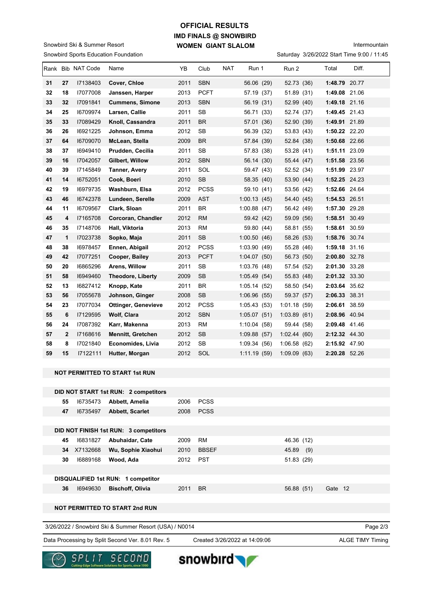### **IMD FINALS @ SNOWBIRD WOMEN GIANT SLALOM OFFICIAL RESULTS**

Snowbird Sports Education Foundation Snowbird Ski & Summer Resort

| Intermountain |
|---------------|
|               |

|  | Saturday 3/26/2022 Start Time 9:00 / 11:45 |  |  |  |
|--|--------------------------------------------|--|--|--|
|--|--------------------------------------------|--|--|--|

|    |              | Rank Bib NAT Code | Name                       | ΥB   | Club        | <b>NAT</b> | Run 1        | Run 2       | Total         | Diff. |
|----|--------------|-------------------|----------------------------|------|-------------|------------|--------------|-------------|---------------|-------|
| 31 | 27           | 17138403          | Cover, Chloe               | 2011 | <b>SBN</b>  |            | 56.06 (29)   | 52.73 (36)  | 1:48.79 20.77 |       |
| 32 | 18           | 17077008          | Janssen, Harper            | 2013 | <b>PCFT</b> |            | 57.19 (37)   | 51.89 (31)  | 1:49.08 21.06 |       |
| 33 | 32           | 17091841          | <b>Cummens, Simone</b>     | 2013 | <b>SBN</b>  |            | 56.19 (31)   | 52.99 (40)  | 1:49.18 21.16 |       |
| 34 | 25           | 16709974          | Larsen, Callie             | 2011 | <b>SB</b>   |            | 56.71 (33)   | 52.74 (37)  | 1:49.45 21.43 |       |
| 35 | 33           | 17089429          | Knoll, Cassandra           | 2011 | <b>BR</b>   |            | 57.01 (36)   | 52.90 (39)  | 1:49.91 21.89 |       |
| 36 | 26           | 16921225          | Johnson, Emma              | 2012 | SB          |            | 56.39 (32)   | 53.83 (43)  | 1:50.22 22.20 |       |
| 37 | 64           | 16709070          | McLean, Stella             | 2009 | <b>BR</b>   |            | 57.84 (39)   | 52.84 (38)  | 1:50.68 22.66 |       |
| 38 | 37           | 16949410          | Prudden, Cecilia           | 2011 | <b>SB</b>   |            | 57.83 (38)   | 53.28 (41)  | 1:51.11 23.09 |       |
| 39 | 16           | 17042057          | Gilbert, Willow            | 2012 | <b>SBN</b>  |            | 56.14 (30)   | 55.44 (47)  | 1:51.58 23.56 |       |
| 40 | 39           | 17145849          | Tanner, Avery              | 2011 | SOL         |            | 59.47 (43)   | 52.52 (34)  | 1:51.99 23.97 |       |
| 41 | 14           | 16752051          | Cook, Boeri                | 2010 | <b>SB</b>   |            | 58.35 (40)   | 53.90 (44)  | 1:52.25 24.23 |       |
| 42 | 19           | 16979735          | Washburn, Elsa             | 2012 | <b>PCSS</b> |            | 59.10 (41)   | 53.56 (42)  | 1:52.66 24.64 |       |
| 43 | 46           | 16742378          | Lundeen, Serelle           | 2009 | <b>AST</b>  |            | 1:00.13(45)  | 54.40 (45)  | 1:54.53 26.51 |       |
| 44 | 11           | 16709567          | Clark, Sloan               | 2011 | <b>BR</b>   |            | 1:00.88(47)  | 56.42 (49)  | 1:57.30 29.28 |       |
| 45 | 4            | 17165708          | Corcoran, Chandler         | 2012 | <b>RM</b>   |            | 59.42 (42)   | 59.09 (56)  | 1:58.51 30.49 |       |
| 46 | 35           | 17148706          | Hall, Viktoria             | 2013 | <b>RM</b>   |            | 59.80 (44)   | 58.81 (55)  | 1:58.61 30.59 |       |
| 47 | 1            | 17023738          | Sopko, Maja                | 2011 | <b>SB</b>   |            | 1:00.50(46)  | 58.26 (53)  | 1:58.76 30.74 |       |
| 48 | 38           | 16978457          | Ennen, Abigail             | 2012 | <b>PCSS</b> |            | 1:03.90(49)  | 55.28 (46)  | 1:59.18 31.16 |       |
| 49 | 42           | 17077251          | Cooper, Bailey             | 2013 | <b>PCFT</b> |            | 1:04.07(50)  | 56.73 (50)  | 2:00.80 32.78 |       |
| 50 | 20           | 16865296          | Arens, Willow              | 2011 | <b>SB</b>   |            | 1:03.76(48)  | 57.54 (52)  | 2:01.30 33.28 |       |
| 51 | 58           | 16949460          | <b>Theodore, Liberty</b>   | 2009 | <b>SB</b>   |            | 1:05.49(54)  | 55.83 (48)  | 2:01.32 33.30 |       |
| 52 | 13           | 16827412          | Knopp, Kate                | 2011 | <b>BR</b>   |            | 1:05.14(52)  | 58.50 (54)  | 2:03.64 35.62 |       |
| 53 | 56           | 17055678          | Johnson, Ginger            | 2008 | <b>SB</b>   |            | 1:06.96(55)  | 59.37 (57)  | 2:06.33 38.31 |       |
| 54 | 23           | 17077034          | <b>Ottinger, Genevieve</b> | 2012 | <b>PCSS</b> |            | 1:05.43(53)  | 1:01.18(59) | 2:06.61 38.59 |       |
| 55 | 6            | 17129595          | <b>Wolf, Clara</b>         | 2012 | <b>SBN</b>  |            | 1:05.07(51)  | 1:03.89(61) | 2:08.96 40.94 |       |
| 56 | 24           | 17087392          | Karr, Makenna              | 2013 | <b>RM</b>   |            | 1:10.04(58)  | 59.44 (58)  | 2:09.48 41.46 |       |
| 57 | $\mathbf{2}$ | 17168616          | <b>Mennitt, Gretchen</b>   | 2012 | <b>SB</b>   |            | 1:09.88 (57) | 1:02.44(60) | 2:12.32 44.30 |       |
| 58 | 8            | 17021840          | Economides, Livia          | 2012 | <b>SB</b>   |            | 1:09.34(56)  | 1:06.58(62) | 2:15.92 47.90 |       |
| 59 | 15           | 17122111          | Hutter, Morgan             | 2012 | SOL         |            | 1:11.19(59)  | 1:09.09(63) | 2:20.28 52.26 |       |
|    |              |                   |                            |      |             |            |              |             |               |       |

#### **NOT PERMITTED TO START 1st RUN**

| DID NOT START 1st RUN: 2 competitors      |                      |                       |
|-------------------------------------------|----------------------|-----------------------|
| 55<br>16735473<br>Abbett, Amelia          | <b>PCSS</b><br>2006  |                       |
| 47<br><b>Abbett, Scarlet</b><br>16735497  | <b>PCSS</b><br>2008  |                       |
|                                           |                      |                       |
| DID NOT FINISH 1st RUN: 3 competitors     |                      |                       |
| 45<br>16831827<br>Abuhaidar, Cate         | RM<br>2009           | 46.36 (12)            |
| Wu, Sophie Xiaohui<br>X7132668<br>34      | <b>BBSEF</b><br>2010 | 45.89<br>(9)          |
| 30<br>16889168<br>Wood, Ada               | <b>PST</b><br>2012   | 51.83 (29)            |
|                                           |                      |                       |
| DISQUALIFIED 1st RUN: 1 competitor        |                      |                       |
| 36<br>16949630<br><b>Bischoff, Olivia</b> | 2011<br><b>BR</b>    | 56.88 (51)<br>Gate 12 |
|                                           |                      |                       |
|                                           |                      |                       |

#### **NOT PERMITTED TO START 2nd RUN**

| 3/26/2022 / Snowbird Ski & Summer Resort (USA) / N0014 | Page $2/3$ |
|--------------------------------------------------------|------------|
|                                                        |            |

Data Processing by Split Second Ver. 8.01 Rev. 5 Created 3/26/2022 at 14:09:06 ALGE TIMY Timing

Created 3/26/2022 at 14:09:06